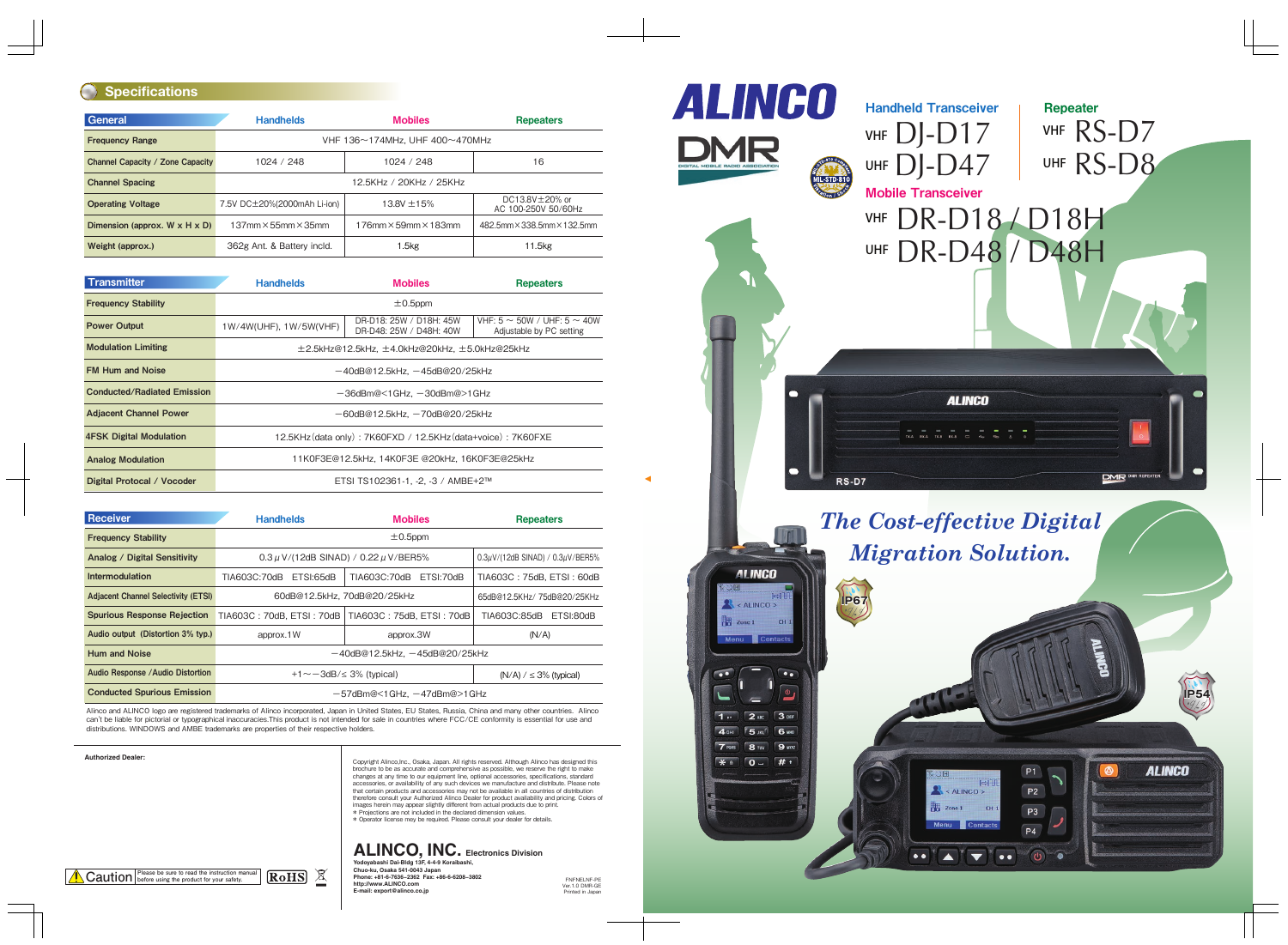#### **Authorized Dealer:**

FNFNELNF-PE Ver.1.0 DMR-GE Printed in Japan



Copyright Alinco,Inc., Osaka, Japan. All rights reserved. Although Alinco has designed this brochure to be as accurate and comprehensive as possible, we reserve the right to make changes at any time to our equipment line, optional accessories, specifications, standard accessories, or availability of any such devices we manufacture and distribute. Please note that certain products and accessories may not be available in all countries of distribution therefore consult your Authorized Alinco Dealer for product availability and pricing. Colors of images herein may appear slightly different from actual products due to print. \* Projections are not included in the declared dimension values. \* Operator license mey be required. Please consult your dealer for details.

#### **Specifications**

| General                                    | <b>Handhelds</b>                                     | <b>Mobiles</b>              |                                             |  |  |  |  |
|--------------------------------------------|------------------------------------------------------|-----------------------------|---------------------------------------------|--|--|--|--|
| <b>Frequency Range</b>                     | VHF 136 $\sim$ 174MHz, UHF 400 $\sim$ 470MHz         |                             |                                             |  |  |  |  |
| Channel Capacity / Zone Capacity           | 1024 / 248                                           | 1024 / 248                  | 16                                          |  |  |  |  |
| <b>Channel Spacing</b>                     | 12.5KHz / 20KHz / 25KHz                              |                             |                                             |  |  |  |  |
| <b>Operating Voltage</b>                   | 7.5V DC $\pm$ 20%(2000mAh Li-ion)<br>13.8V $\pm$ 15% |                             | DC13.8V $\pm$ 20% or<br>AC 100-250V 50/60Hz |  |  |  |  |
| Dimension (approx. $W \times H \times D$ ) | $137$ mm $\times$ 55mm $\times$ 35mm                 | 482.5mm × 338.5mm × 132.5mm |                                             |  |  |  |  |
| Weight (approx.)                           | 362g Ant. & Battery incld.                           | 1.5 <sub>kg</sub>           | 11.5kg                                      |  |  |  |  |

| <b>Transmitter</b>                 | <b>Handhelds</b>                                             | <b>Mobiles</b>                                     | <b>Repeaters</b>                                                |  |  |  |  |
|------------------------------------|--------------------------------------------------------------|----------------------------------------------------|-----------------------------------------------------------------|--|--|--|--|
| <b>Frequency Stability</b>         | $\pm 0.5$ ppm                                                |                                                    |                                                                 |  |  |  |  |
| <b>Power Output</b>                | 1W/4W(UHF), 1W/5W(VHF)                                       | DR-D18: 25W / D18H: 45W<br>DR-D48: 25W / D48H: 40W | VHF: $5 \sim 50W / UHF: 5 \sim 40W$<br>Adjustable by PC setting |  |  |  |  |
| <b>Modulation Limiting</b>         | $\pm$ 2.5kHz@12.5kHz, $\pm$ 4.0kHz@20kHz, $\pm$ 5.0kHz@25kHz |                                                    |                                                                 |  |  |  |  |
| <b>FM Hum and Noise</b>            | $-40$ dB@12.5kHz, $-45$ dB@20/25kHz                          |                                                    |                                                                 |  |  |  |  |
| <b>Conducted/Radiated Emission</b> | -36dBm@<1GHz, -30dBm@>1GHz                                   |                                                    |                                                                 |  |  |  |  |
| <b>Adjacent Channel Power</b>      | $-60$ dB@12.5kHz, $-70$ dB@20/25kHz                          |                                                    |                                                                 |  |  |  |  |
| <b>4FSK Digital Modulation</b>     | 12.5KHz (data only): 7K60FXD / 12.5KHz (data+voice): 7K60FXE |                                                    |                                                                 |  |  |  |  |
| <b>Analog Modulation</b>           | 11K0F3E@12.5kHz, 14K0F3E @20kHz, 16K0F3E@25kHz               |                                                    |                                                                 |  |  |  |  |
| Digital Protocal / Vocoder         | ETSI TS102361-1, -2, -3 / AMBE+2™                            |                                                    |                                                                 |  |  |  |  |

| <b>Receiver</b>                            | <b>Handhelds</b>                              | <b>Mobiles</b>                             | <b>Repeaters</b>          |  |  |  |  |
|--------------------------------------------|-----------------------------------------------|--------------------------------------------|---------------------------|--|--|--|--|
| <b>Frequency Stability</b>                 | $\pm 0.5$ ppm                                 |                                            |                           |  |  |  |  |
| <b>Analog / Digital Sensitivity</b>        | $0.3 \mu$ V/(12dB SINAD) / 0.22 $\mu$ V/BER5% | $0.3\mu$ V/(12dB SINAD) / $0.3\mu$ V/BER5% |                           |  |  |  |  |
| Intermodulation                            | TIA603C:70dB<br>ETSI:65dB                     | TIA603C:70dB ETSI:70dB                     | TIA603C: 75dB, ETSI: 60dB |  |  |  |  |
| <b>Adjacent Channel Selectivity (ETSI)</b> | 60dB@12.5kHz, 70dB@20/25kHz                   | 65dB@12.5KHz/75dB@20/25KHz                 |                           |  |  |  |  |
| <b>Spurious Response Rejection</b>         | TIA603C: 70dB, ETSI: 70dB                     | TIA603C:85dB<br>ETSI:80dB                  |                           |  |  |  |  |
| Audio output (Distortion 3% typ.)          | approx.1W                                     | (N/A)                                      |                           |  |  |  |  |
| <b>Hum and Noise</b>                       | $-40dB@12.5kHz$ , $-45dB@20/25kHz$            |                                            |                           |  |  |  |  |
| Audio Response / Audio Distortion          | $+1 \sim -3$ dB/ $\leq 3\%$ (typical)         | $(N/A)$ / $\leq$ 3% (typical)              |                           |  |  |  |  |
| <b>Conducted Spurious Emission</b>         | $-57$ dBm@<1GHz, $-47$ dBm@>1GHz              |                                            |                           |  |  |  |  |



Alinco and ALINCO logo are registered trademarks of Alinco incorporated, Japan in United States, EU States, Russia, China and many other countries. Alinco can't be liable for pictorial or typographical inaccuracies.This product is not intended for sale in countries where FCC/CE conformity is essential for use and distributions. WINDOWS and AMBE trademarks are properties of their respective holders.